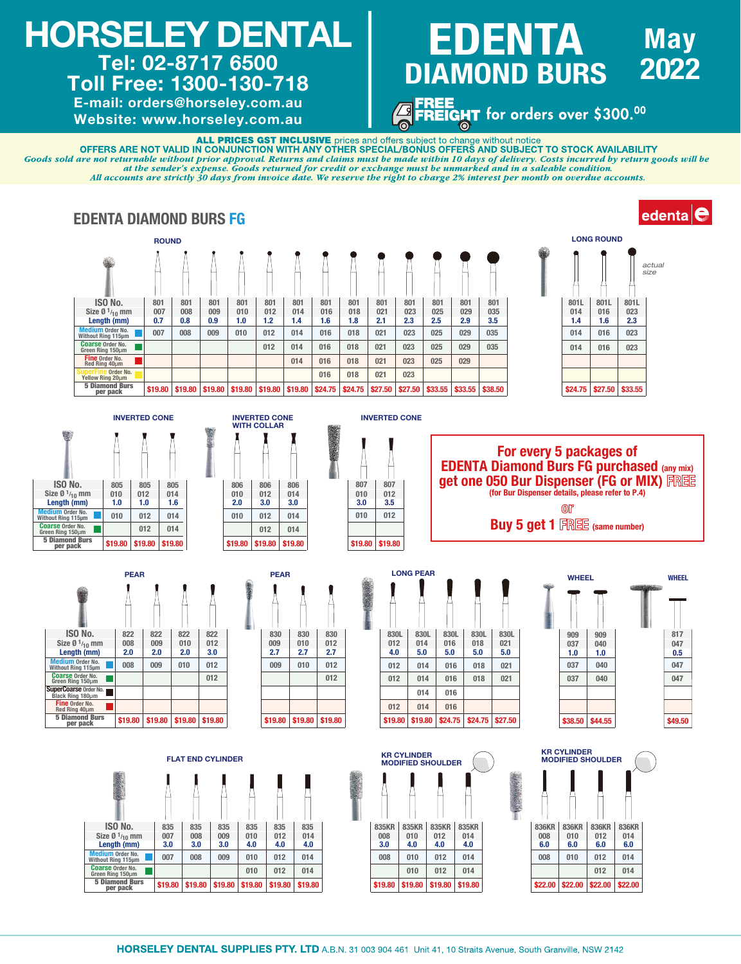# HORSELEY DENTAL Tel: 02-8717 6500

## Toll Free: 1300-130-718

E-mail: orders@horseley.com.au Website: www.horseley.com.au

### **May** 2022 **EDENTA** DIAMOND BURS

FREE<br>FREIGHT for orders over \$300.<sup>00</sup><br>————————————————————

**ALL PRICES GST INCLUSIVE** prices and offers subject to change without notice<br>OFFERS ARE NOT VALID IN CONJUNCTION WITH ANY OTHER SPECIAL/BONUS OFFERS AND SUBJECT TO STOCK AVAILABILITY

Goods sold are not returnable without prior approval. Returns and claims must be made within 10 days of delivery. Costs incurred by return goods will be at the sender's expense. Goods returned for credit or exchange must be unmarked and in a saleable condition. All accounts are strictly 30 days from invoice date. We reserve the right to charge 2% interest per month on overdue accounts.





835KR 835KR 835KR<br>008 010 012 014 008 010 012 014 3.0 4.0 4.0 4.0 008 010 012 014 010 012 014

836KR 836KR 836KR<br>008 010 012 014 008 010 012 014  $6.0$ 008 010 012 014

012 014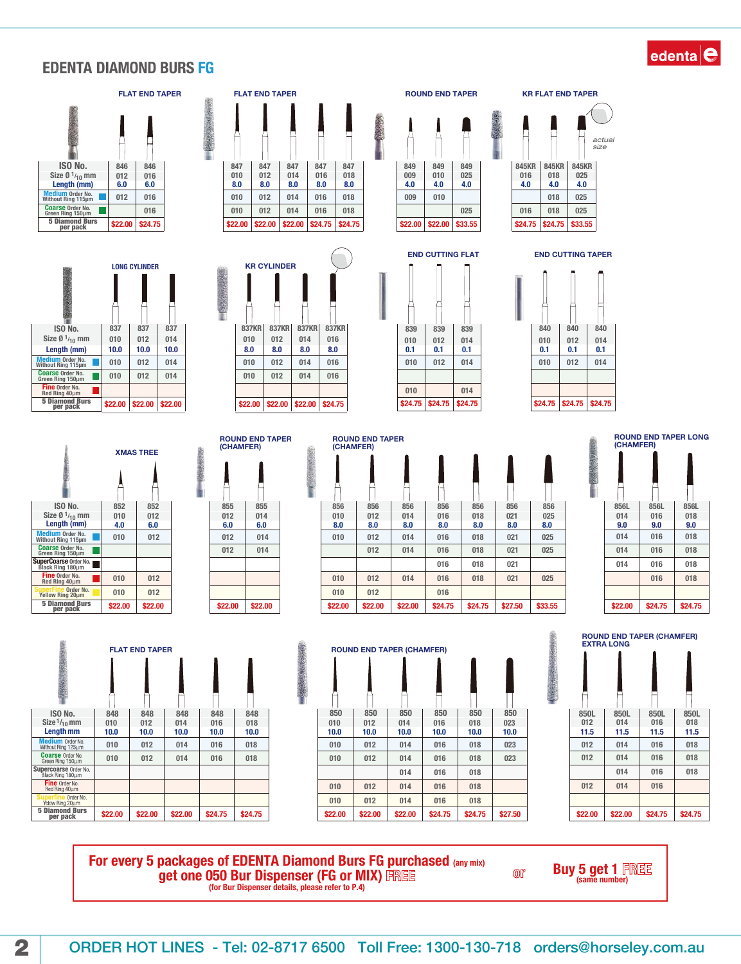#### EDENTA DIAMOND BURS FG











ROUND END TAPER (CHAMFER)

> 014 014

010

2009年10月10日

010 010

012

ROUND END TAPER (CHAMFER)



 $0A<sub>0</sub>$ 010 4.0 010 849 025 4.0

025

839 839 839 840 840 840  $010$  014

840  $\begin{array}{|c|c|c|c|c|}\n 010 & 012 & 014 \\
\hline\n 0.1 & 0.1 & 0.1\n \end{array}$  $0.1$ END CUTTING FLAT END CUTTING TAPER 016 018 025

025

845KR 845KR<br>016 018 025 016 018 025 4.0 4.0 4.0 018

actual size

856 856 856 856 856 856 856 010 012 014 016 018 021 025 8.0 8.0 8.0 8.0 8.0 8.0 8.0 012 014 016 018 021 025 012 014 016 018 021  $016$   $018$   $021$ 025 016 018 021 025 016 012 014 018 021

\$**22.00** \$**22.00** \$**22.00** \$**22.00** \$**22.00** \$**22.00** \$**22.00** \$24.75 \$24.75 \$27.50 \$33.55 \$22.00 \$24.75 \$24.75 856L 856L 856L 014 016 018 9.0 9.0 9.0 014 014 014 016 016 016 018 018 018 016 018 ROUND END TAPER LONG (CHAMFER)







For every 5 packages of EDENTA Diamond Burs FG purchased (any mix) get one 050 Bur Dispenser (FG or MIX) FREE (for Bur Dispenser details, please refer to P.4)

Buy 5 get 1 FREE



 $[0]$ 

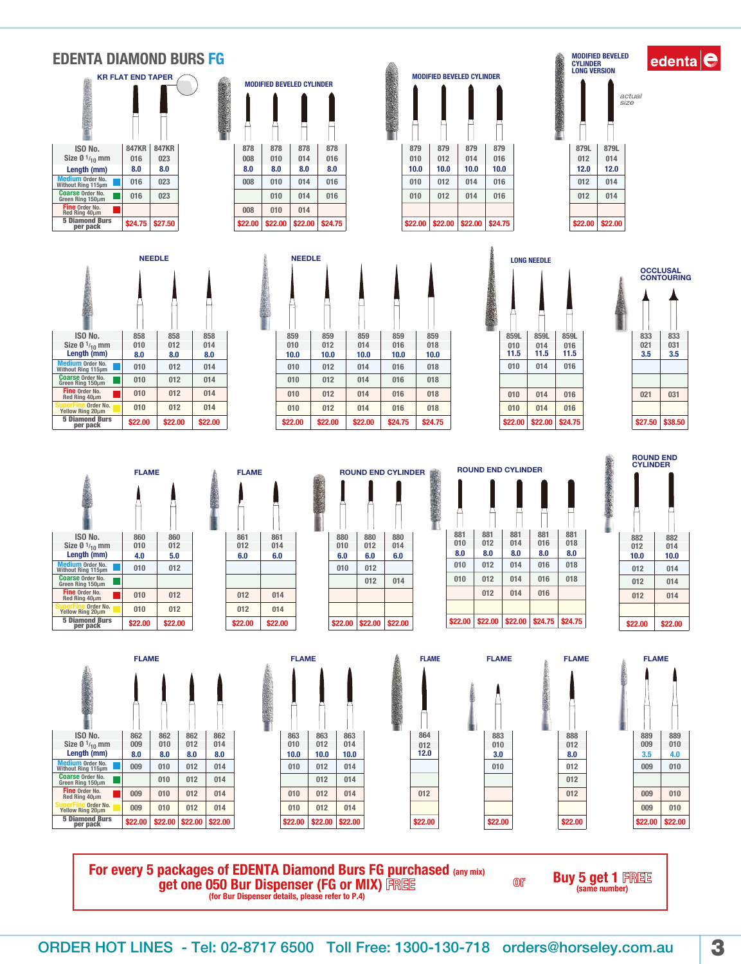#### EDENTA DIAMOND BURS FG

| <b>KR FLAT END TAPER</b>                    |              |              |  |  |  |
|---------------------------------------------|--------------|--------------|--|--|--|
|                                             |              |              |  |  |  |
| ISO No.                                     | <b>847KR</b> | <b>847KR</b> |  |  |  |
| Size $\varnothing$ 1 <sub>/10</sub> mm      | 016          | 023          |  |  |  |
| Length (mm)                                 | 8.0          | 8.0          |  |  |  |
| Medium Order No.<br>Without Ring 115µm      | 016          | 023          |  |  |  |
| <b>Coarse Order No.</b><br>Green Ring 150um | 016          | 023          |  |  |  |
| Fine Order No.<br>Red Ring 40µm             |              |              |  |  |  |
| <b>5 Diamond Burs</b><br>per pack           | \$24.75      | \$27.50      |  |  |  |







MODIFIED BEVELED

859L 859L 859L 11.5 11.5 11.5 Medium Order No. 11<br>Without Ring 115µm 115µm 115µm 115µm 115µm 1010 114 | 014 | 016 | 016 | 016 | 016 | 010 | 010 | 014 | 016



edenta $\big|$ e



 858 858 012 014 8.0 8.0 8.0

NEEDLE NEEDLE

г

Medium Order No.<br>Without Ring 115µm<br>Coarse Order No.<br>Green Ring 150µm Fine Order No. Red Ring 40µ<sup>m</sup> uperFine Order No.<br>Yellow Ring 20µm<br>5 Diamond Burs

**ber** pack

ISO No.

Length (mm) Size Ø 1<sub>/10</sub> mm

| 861 | 861 |
|-----|-----|
| 012 | 014 |
| 6.0 | 6.0 |
|     |     |
|     |     |
| 012 | 014 |
| 012 | n1A |

| \$22.00 | \$22.00 | \$22.00 |
|---------|---------|---------|
|         |         |         |
|         |         |         |
|         | 012     | 014     |
| 010     | 012     |         |
| 6.0     | 6.0     | 6.0     |
| 010     | 012     | 014     |
| 880     | 880     | 880     |
|         |         |         |

 $\blacksquare$ 

 $\blacksquare$ 

 859 859 859 859 012 014 016 018 10.0 | 10.0 | 10.0 | 10.0 | 10.0

 $\bullet$ 

 

**CARDIO** 

ROUND END CYLINDER **ROUND END CYLINDER**  012 8.0 8.0 8.0 012 014 016 018 010 012 014 016 018 012 014 016 881 | 881 | 881 | 881 \$22.00 \$22.00 \$22.00 \$22.00 \$22.00 \$22.00 \$22.00 \$22.00 \$22.00 \$22.00 \$22.00 \$22.00 \$24.75 \$22.00 \$22.00 \$22.00

010

882 882<br>012 014 <br>10.0  $10.0$  ROUND END CYLINDER

| <b>FLAME</b>                                  |         |         |         |        |
|-----------------------------------------------|---------|---------|---------|--------|
|                                               |         |         |         |        |
| ISO No.                                       | 862     | 862     | 862     | 862    |
| Size $\varnothing$ 1 <sub>/10</sub> mm        | 009     | 010     | 012     | 014    |
| Length (mm)                                   | 8.0     | 8.0     | 8.0     | 8.0    |
| <b>Medium Order No.</b><br>Without Ring 115um | 009     | 010     | 012     | 014    |
| <b>Coarse Order No.</b><br>Green Ring 150um   |         | 010     | 012     | 014    |
| Fine Order No.<br>Red Ring 40µm               | 009     | 010     | 012     | 014    |
| Order No.<br>Yellow Ring 20µm                 | 009     | 010     | 012     | 014    |
| <b>5 Diamond Burs</b><br>per pack             | \$22.00 | \$22.00 | \$22.00 | \$22.0 |







 $0^{\circ}$ 



For every 5 packages of EDENTA Diamond Burs FG purchased (any mix) **get one 050 Bur Dispenser (FG or MIX)** FREE (for Bur Dispenser details, please refer to P.4)

**Buy 5 get 1 FREE** 



LONG NEEDLE

 016 016